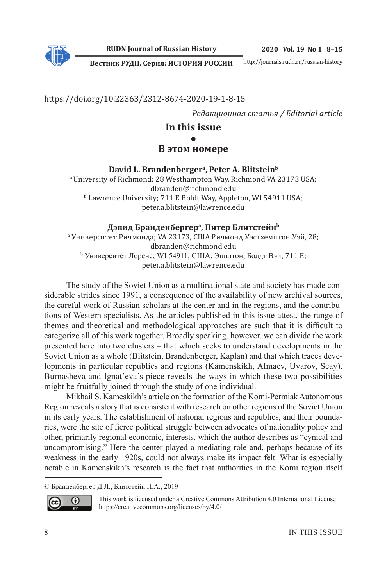**RUDN Journal of Russian History**

**Вестник РУДН. Серия: ИСТОРИЯ РОССИИ**

http://journals.rudn.ru/russian-history

https://doi.org/10.22363/2312-8674-2020-19-1-8-15

*Редакционная статья / Editorial article*

# **In this issue ● В этом номере**

David L. Brandenberger<sup>a</sup>, Peter A. Blitstein<sup>b</sup> <sup>a</sup> University of Richmond; 28 Westhampton Way, Richmond VA 23173 USA; dbranden@richmond.edu b Lawrence University; 711 E Boldt Way, Appleton, WI 54911 USA; peter.a.blitstein@lawrence.edu

### **Дэвид Бранденбергер<sup>a</sup> , Питер Блитстейн<sup>b</sup>**

a Университет Ричмонда; VA 23173, США Ричмонд Уэстхемптон Уэй, 28; dbranden@richmond.edu b Университет Лоренс; WI 54911, США, Эпплтон, Болдт Вэй, 711 E; peter.a.blitstein@lawrence.edu

The study of the Soviet Union as a multinational state and society has made considerable strides since 1991, a consequence of the availability of new archival sources, the careful work of Russian scholars at the center and in the regions, and the contributions of Western specialists. As the articles published in this issue attest, the range of themes and theoretical and methodological approaches are such that it is difficult to categorize all of this work together. Broadly speaking, however, we can divide the work presented here into two clusters – that which seeks to understand developments in the Soviet Union as a whole (Blitstein, Brandenberger, Kaplan) and that which traces developments in particular republics and regions (Kamenskikh, Almaev, Uvarov, Seay). Burnasheva and Ignat'eva's piece reveals the ways in which these two possibilities might be fruitfully joined through the study of one individual.

Mikhail S. Kameskikh's article on the formation of the Komi-Permiak Autonomous Region reveals a story that is consistent with research on other regions of the Soviet Union in its early years. The establishment of national regions and republics, and their boundaries, were the site of fierce political struggle between advocates of nationality policy and other, primarily regional economic, interests, which the author describes as "cynical and uncompromising." Here the center played a mediating role and, perhaps because of its weakness in the early 1920s, could not always make its impact felt. What is especially notable in Kamenskikh's research is the fact that authorities in the Komi region itself

<sup>©</sup> Бранденбергер Д.Л., Блитстейн П.А., 2019



This work is licensed under a Creative Commons Attribution 4.0 International License https://creativecommons.org/licenses/by/4.0/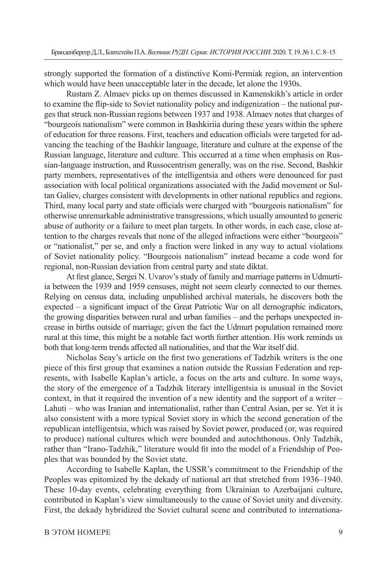strongly supported the formation of a distinctive Komi-Permiak region, an intervention which would have been unacceptable later in the decade, let alone the 1930s.

Rustam Z. Almaev picks up on themes discussed in Kamenskikh's article in order to examine the flip-side to Soviet nationality policy and indigenization  $-$  the national purges that struck non-Russian regions between 1937 and 1938. Almaev notes that charges of "bourgeois nationalism" were common in Bashkiriia during these years within the sphere of education for three reasons. First, teachers and education officials were targeted for advancing the teaching of the Bashkir language, literature and culture at the expense of the Russian language, literature and culture. This occurred at a time when emphasis on Russian-language instruction, and Russocentrism generally, was on the rise. Second, Bashkir party members, representatives of the intelligentsia and others were denounced for past association with local political organizations associated with the Jadid movement or Sultan Galiev, charges consistent with developments in other national republics and regions. Third, many local party and state officials were charged with "bourgeois nationalism" for otherwise unremarkable administrative transgressions, which usually amounted to generic abuse of authority or a failure to meet plan targets. In other words, in each case, close attention to the charges reveals that none of the alleged infractions were either "bourgeois" or "nationalist," per se, and only a fraction were linked in any way to actual violations of Soviet nationality policy. "Bourgeois nationalism" instead became a code word for regional, non-Russian deviation from central party and state diktat.

At first glance, Sergei N. Uvarov's study of family and marriage patterns in Udmurtiia between the 1939 and 1959 censuses, might not seem clearly connected to our themes. Relying on census data, including unpublished archival materials, he discovers both the expected  $-$  a significant impact of the Great Patriotic War on all demographic indicators, the growing disparities between rural and urban families – and the perhaps unexpected increase in births outside of marriage; given the fact the Udmurt population remained more rural at this time, this might be a notable fact worth further attention. His work reminds us both that long-term trends affected all nationalities, and that the War itself did.

Nicholas Seav's article on the first two generations of Tadzhik writers is the one piece of this first group that examines a nation outside the Russian Federation and represents, with Isabelle Kaplan's article, a focus on the arts and culture. In some ways, the story of the emergence of a Tadzhik literary intelligentsia is unusual in the Soviet context, in that it required the invention of a new identity and the support of a writer – Lahuti – who was Iranian and internationalist, rather than Central Asian, per se. Yet it is also consistent with a more typical Soviet story in which the second generation of the republican intelligentsia, which was raised by Soviet power, produced (or, was required to produce) national cultures which were bounded and autochthonous. Only Tadzhik, rather than "Irano-Tadzhik," literature would fi t into the model of a Friendship of Peoples that was bounded by the Soviet state.

According to Isabelle Kaplan, the USSR's commitment to the Friendship of the Peoples was epitomized by the dekady of national art that stretched from 1936–1940. These 10-day events, celebrating everything from Ukrainian to Azerbaijani culture, contributed in Kaplan's view simultaneously to the cause of Soviet unity and diversity. First, the dekady hybridized the Soviet cultural scene and contributed to internationa-

### B ЭТОМ НОМЕРЕ 9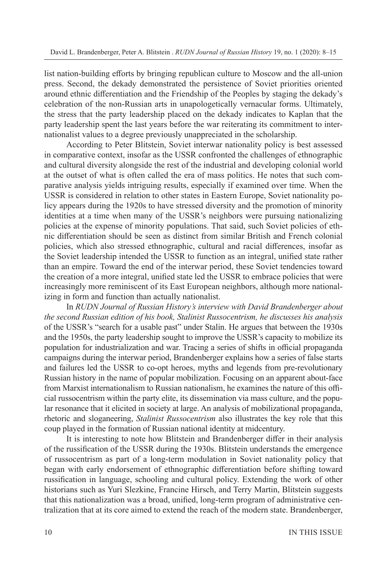list nation-building efforts by bringing republican culture to Moscow and the all-union press. Second, the dekady demonstrated the persistence of Soviet priorities oriented around ethnic differentiation and the Friendship of the Peoples by staging the dekady's celebration of the non-Russian arts in unapologetically vernacular forms. Ultimately, the stress that the party leadership placed on the dekady indicates to Kaplan that the party leadership spent the last years before the war reiterating its commitment to internationalist values to a degree previously unappreciated in the scholarship.

According to Peter Blitstein, Soviet interwar nationality policy is best assessed in comparative context, insofar as the USSR confronted the challenges of ethnographic and cultural diversity alongside the rest of the industrial and developing colonial world at the outset of what is often called the era of mass politics. He notes that such comparative analysis yields intriguing results, especially if examined over time. When the USSR is considered in relation to other states in Eastern Europe, Soviet nationality policy appears during the 1920s to have stressed diversity and the promotion of minority identities at a time when many of the USSR's neighbors were pursuing nationalizing policies at the expense of minority populations. That said, such Soviet policies of ethnic differentiation should be seen as distinct from similar British and French colonial policies, which also stressed ethnographic, cultural and racial differences, insofar as the Soviet leadership intended the USSR to function as an integral, unified state rather than an empire. Toward the end of the interwar period, these Soviet tendencies toward the creation of a more integral, unified state led the USSR to embrace policies that were increasingly more reminiscent of its East European neighbors, although more nationalizing in form and function than actually nationalist.

In *RUDN Journal of Russian History's interview with David Brandenberger about the second Russian edition of his book, Stalinist Russocentrism, he discusses his analysis*  of the USSR's "search for a usable past" under Stalin. He argues that between the 1930s and the 1950s, the party leadership sought to improve the USSR's capacity to mobilize its population for industrialization and war. Tracing a series of shifts in official propaganda campaigns during the interwar period, Brandenberger explains how a series of false starts and failures led the USSR to co-opt heroes, myths and legends from pre-revolutionary Russian history in the name of popular mobilization. Focusing on an apparent about-face from Marxist internationalism to Russian nationalism, he examines the nature of this official russocentrism within the party elite, its dissemination via mass culture, and the popular resonance that it elicited in society at large. An analysis of mobilizational propaganda, rhetoric and sloganeering, *Stalinist Russocentrism* also illustrates the key role that this coup played in the formation of Russian national identity at midcentury.

It is interesting to note how Blitstein and Brandenberger differ in their analysis of the russification of the USSR during the 1930s. Blitstein understands the emergence of russocentrism as part of a long-term modulation in Soviet nationality policy that began with early endorsement of ethnographic differentiation before shifting toward russification in language, schooling and cultural policy. Extending the work of other historians such as Yuri Slezkine, Francine Hirsch, and Terry Martin, Blitstein suggests that this nationalization was a broad, unified, long-term program of administrative centralization that at its core aimed to extend the reach of the modern state. Brandenberger,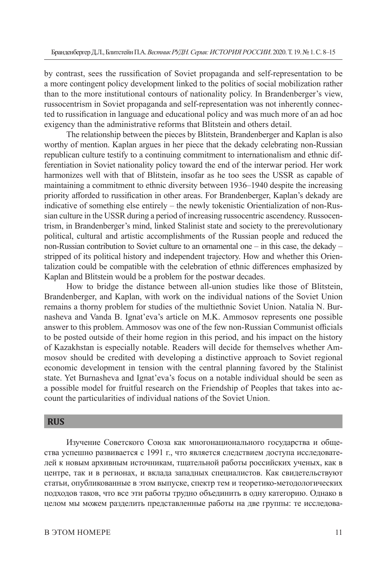by contrast, sees the russification of Soviet propaganda and self-representation to be a more contingent policy development linked to the politics of social mobilization rather than to the more institutional contours of nationality policy. In Brandenberger's view, russocentrism in Soviet propaganda and self-representation was not inherently connected to russification in language and educational policy and was much more of an ad hoc exigency than the administrative reforms that Blitstein and others detail.

The relationship between the pieces by Blitstein, Brandenberger and Kaplan is also worthy of mention. Kaplan argues in her piece that the dekady celebrating non-Russian republican culture testify to a continuing commitment to internationalism and ethnic differentiation in Soviet nationality policy toward the end of the interwar period. Her work harmonizes well with that of Blitstein, insofar as he too sees the USSR as capable of maintaining a commitment to ethnic diversity between 1936–1940 despite the increasing priority afforded to russification in other areas. For Brandenberger, Kaplan's dekady are indicative of something else entirely – the newly tokenistic Orientialization of non-Russian culture in the USSR during a period of increasing russocentric ascendency. Russocentrism, in Brandenberger's mind, linked Stalinist state and society to the prerevolutionary political, cultural and artistic accomplishments of the Russian people and reduced the non-Russian contribution to Soviet culture to an ornamental one – in this case, the dekady – stripped of its political history and independent trajectory. How and whether this Orientalization could be compatible with the celebration of ethnic differences emphasized by Kaplan and Blitstein would be a problem for the postwar decades.

How to bridge the distance between all-union studies like those of Blitstein, Brandenberger, and Kaplan, with work on the individual nations of the Soviet Union remains a thorny problem for studies of the multiethnic Soviet Union. Natalia N. Burnasheva and Vanda B. Ignat'eva's article on M.K. Ammosov represents one possible answer to this problem. Ammosov was one of the few non-Russian Communist officials to be posted outside of their home region in this period, and his impact on the history of Kazakhstan is especially notable. Readers will decide for themselves whether Ammosov should be credited with developing a distinctive approach to Soviet regional economic development in tension with the central planning favored by the Stalinist state. Yet Burnasheva and Ignat'eva's focus on a notable individual should be seen as a possible model for fruitful research on the Friendship of Peoples that takes into account the particularities of individual nations of the Soviet Union.

## **RUS**

Изучение Советского Союза как многонационального государства и общества успешно развивается с 1991 г., что является следствием доступа исследователей к новым архивным источникам, тщательной работы российских ученых, как в центре, так и в регионах, и вклада западных специалистов. Как свидетельствуют статьи, опубликованные в этом выпуске, спектр тем и теоретико-методологических подходов таков, что все эти работы трудно объединить в одну категорию. Однако в целом мы можем разделить представленные работы на две группы: те исследова-

#### B ЭТОМ НОМЕРЕ 11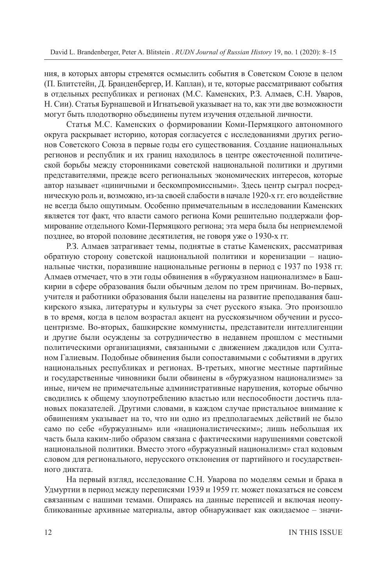ния, в которых авторы стремятся осмыслить события в Советском Союзе в целом (П. Блитстейн, Д. Бранденбергер, И. Каплан), и те, которые рассматривают события в отдельных республиках и регионах (М.С. Каменских, Р.З. Алмаев, С.Н. Уваров, Н. Сии). Статья Бурнашевой и Игнатьевой указывает на то, как эти две возможности могут быть плодотворно объединены путем изучения отдельной личности.

Статья М.С. Каменских о формировании Коми-Пермяцкого автономного округа раскрывает историю, которая согласуется с исследованиями других регионов Советского Союза в первые годы его существования. Создание национальных регионов и республик и их границ находилось в центре ожесточенной политической борьбы между сторонниками советской национальной политики и другими представителями, прежде всего региональных экономических интересов, которые автор называет «циничными и бескомпромиссными». Здесь центр сыграл посредническую роль и, возможно, из-за своей слабости в начале 1920-х гг. его воздействие не всегда было ощутимым. Особенно примечательным в исследовании Каменских является тот факт, что власти самого региона Коми решительно поддержали формирование отдельного Коми-Пермяцкого региона; эта мера была бы неприемлемой позднее, во второй половине десятилетия, не говоря уже о 1930-х гг.

Р.З. Алмаев затрагивает темы, поднятые в статье Каменских, рассматривая обратную сторону советской национальной политики и коренизации – национальные чистки, поразившие национальные регионы в период с 1937 по 1938 гг. Алмаев отмечает, что в эти годы обвинения в «буржуазном национализме» в Башкирии в сфере образования были обычным делом по трем причинам. Во-первых, учителя и работники образования были нацелены на развитие преподавания башкирского языка, литературы и культуры за счет русского языка. Это произошло в то время, когда в целом возрастал акцент на русскоязычном обучении и руссоцентризме. Во-вторых, башкирские коммунисты, представители интеллигенции и другие были осуждены за сотрудничество в недавнем прошлом с местными политическими организациями, связанными с движением джадидов или Султаном Галиевым. Подобные обвинения были сопоставимыми с событиями в других национальных республиках и регионах. В-третьих, многие местные партийные и государственные чиновники были обвинены в «буржуазном национализме» за иные, ничем не примечательные административные нарушения, которые обычно сводились к общему злоупотреблению властью или неспособности достичь плановых показателей. Другими словами, в каждом случае пристальное внимание к обвинениям указывает на то, что ни одно из предполагаемых действий не было само по себе «буржуазным» или «националистическим»; лишь небольшая их часть была каким-либо образом связана с фактическими нарушениями советской национальной политики. Вместо этого «буржуазный национализм» стал кодовым словом для регионального, нерусского отклонения от партийного и государственного диктата.

На первый взгляд, исследование С.Н. Уварова по моделям семьи и брака в Удмуртии в период между переписями 1939 и 1959 гг. может показаться не совсем связанным с нашими темами. Опираясь на данные переписей и включая неопубликованные архивные материалы, автор обнаруживает как ожидаемое – значи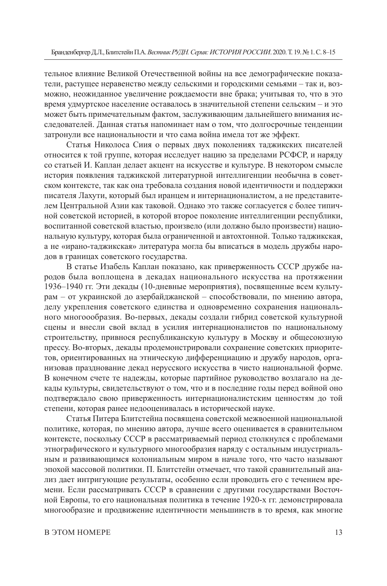тельное влияние Великой Отечественной войны на все демографические показатели, растущее неравенство между сельскими и городскими семьями – так и, возможно, неожиданное увеличение рождаемости вне брака; учитывая то, что в это время удмуртское население оставалось в значительной степени сельским – и это может быть примечательным фактом, заслуживающим дальнейшего внимания исследователей. Данная статья напоминает нам о том, что долгосрочные тенденции затронули все национальности и что сама война имела тот же эффект.

Статья Николоса Сиия о первых двух поколениях таджикских писателей относится к той группе, которая исследует нацию за пределами РСФСР, и наряду со статьей И. Каплан делает акцент на искусстве и культуре. В некотором смысле история появления таджикской литературной интеллигенции необычна в советском контексте, так как она требовала создания новой идентичности и поддержки писателя Лахути, который был иранцем и интернационалистом, а не представителем Центральной Азии как таковой. Однако это также согласуется с более типичной советской историей, в которой второе поколение интеллигенции республики, воспитанной советской властью, произвело (или должно было произвести) национальную культуру, которая была ограниченной и автохтонной. Только таджикская, а не «ирано-таджикская» литература могла бы вписаться в модель дружбы народов в границах советского государства.

В статье Изабель Каплан показано, как приверженность СССР дружбе народов была воплощена в декадах национального искусства на протяжении 1936–1940 гг. Эти декады (10-дневные мероприятия), посвященные всем культурам – от украинской до азербайджанской – способствовали, по мнению автора, делу укрепления советского единства и одновременно сохранения национального многоообразия. Во-первых, декады создали гибрид советской культурной сцены и внесли свой вклад в усилия интернационалистов по национальному строительству, привнося республиканскую культуру в Москву и общесоюзную прессу. Во-вторых, декады продемонстрировали сохранение советских приоритетов, ориентированных на этническую дифференциацию и дружбу народов, организовав празднование декад нерусского искусства в чисто национальной форме. В конечном счете те надежды, которые партийное руководство возлагало на декады культуры, свидетельствуют о том, что и в последние годы перед войной оно подтверждало свою приверженность интернационалистским ценностям до той степени, которая ранее недооценивалась в исторической науке.

Статья Питера Блитстейна посвящена советской межвоенной национальной политике, которая, по мнению автора, лучше всего оценивается в сравнительном контексте, поскольку СССР в рассматриваемый период столкнулся с проблемами этнографического и культурного многообразия наряду с остальным индустриальным и развивающимся колониальным миром в начале того, что часто называют эпохой массовой политики. П. Блитстейн отмечает, что такой сравнительный анализ дает интригующие результаты, особенно если проводить его с течением времени. Если рассматривать СССР в сравнении с другими государствами Восточной Европы, то его национальная политика в течение 1920-х гг. демонстрировала многообразие и продвижение идентичности меньшинств в то время, как многие

#### B ЭТОМ НОМЕРЕ 13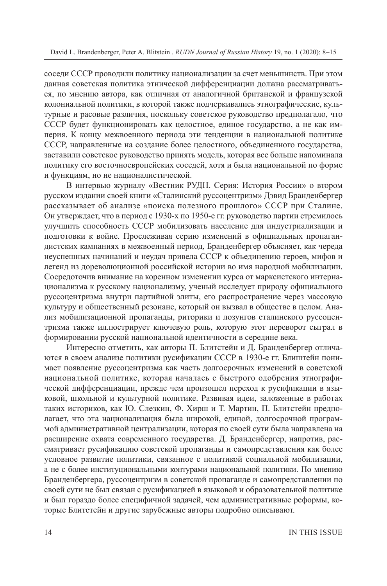соседи СССР проводили политику национализации за счет меньшинств. При этом данная советская политика этнической дифференциации должна рассматриваться, по мнению автора, как отличная от аналогичной британской и французской колониальной политики, в которой также подчеркивались этнографические, культурные и расовые различия, поскольку советское руководство предполагало, что СССР будет функционировать как целостное, единое государство, а не как империя. К концу межвоенного периода эти тенденции в национальной политике СССР, направленные на создание более целостного, объединенного государства, заставили советское руководство принять модель, которая все больше напоминала политику его восточноевропейских соседей, хотя и была национальной по форме и функциям, но не националистической.

В интервью журналу «Вестник РУДН. Серия: История России» о втором русском издании своей книги «Сталинский руссоцентризм» Дэвид Бранденбергер рассказывает об анализе «поиска полезного прошлого» СССР при Сталине. Он утверждает, что в период с 1930-х по 1950-е гг. руководство партии стремилось улучшить способность СССР мобилизовать население для индустриализации и подготовки к войне. Прослеживая серию изменений в официальных пропагандистских кампаниях в межвоенный период, Бранденбергер объясняет, как череда неуспешных начинаний и неудач привела СССР к объединению героев, мифов и легенд из дореволюционной российской истории во имя народной мобилизации. Сосредоточив внимание на коренном изменении курса от марксистского интернационализма к русскому национализму, ученый исследует природу официального руссоцентризма внутри партийной элиты, его распространение через массовую культуру и общественный резонанс, который он вызвал в обществе в целом. Анализ мобилизационной пропаганды, риторики и лозунгов сталинского руссоцентризма также иллюстрирует ключевую роль, которую этот переворот сыграл в формировании русской национальной идентичности в середине века.

Интересно отметить, как авторы П. Блитстейн и Д. Бранденбергер отличаются в своем анализе политики русификации СССР в 1930-е гг. Блиштейн понимает появление руссоцентризма как часть долгосрочных изменений в советской национальной политике, которая началась с быстрого одобрения этнографической дифференциации, прежде чем произошел переход к русификации в языковой, школьной и культурной политике. Развивая идеи, заложенные в работах таких историков, как Ю. Слезкин, Ф. Хирш и Т. Мартин, П. Блитстейн предполагает, что эта национализация была широкой, единой, долгосрочной программой административной централизации, которая по своей сути была направлена на расширение охвата современного государства. Д. Бранденбергер, напротив, рассматривает русификацию советской пропаганды и самопредставления как более условное развитие политики, связанное с политикой социальной мобилизации, а не с более институциональными контурами национальной политики. По мнению Бранденбергера, руссоцентризм в советской пропаганде и самопредставлении по своей сути не был связан с русификацией в языковой и образовательной политике и был гораздо более специфичной задачей, чем административные реформы, которые Блитстейн и другие зарубежные авторы подробно описывают.